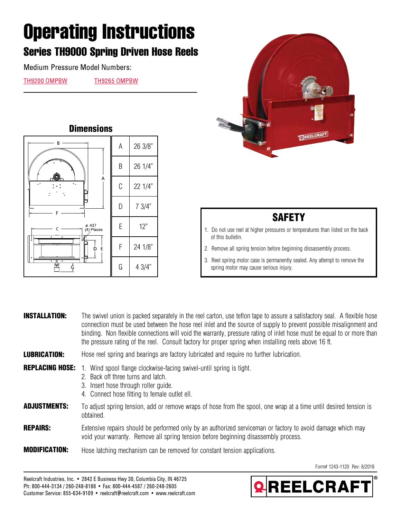## **Operating Instructions**

## **Series TH9000 Spring Driven Hose Reels**

Medium Pressure Model Numbers:

[TH9200 OMPBW](https://www.reelcraft.com/catalog/product_search1.aspx?search=th9200%20ompbw&category=th) [TH9265 OMPBW](https://www.reelcraft.com/catalog/product_search1.aspx?search=th9265%20ompbw&category=th)





## **SAFETY**

- 1. Do not use reel at higher pressures or temperatures than listed on the back of this bulletin.
- 2. Remove all spring tension before beginning dissassembly process.
- 3. Reel spring motor case is permanently sealed. Any attempt to remove the spring motor may cause serious injury.

| <b>INSTALLATION:</b>   | The swivel union is packed separately in the reel carton, use teflon tape to assure a satisfactory seal. A flexible hose<br>connection must be used between the hose reel inlet and the source of supply to prevent possible misalignment and<br>binding. Non flexible connections will void the warranty, pressure rating of inlet hose must be equal to or more than<br>the pressure rating of the reel. Consult factory for proper spring when installing reels above 16 ft. |
|------------------------|---------------------------------------------------------------------------------------------------------------------------------------------------------------------------------------------------------------------------------------------------------------------------------------------------------------------------------------------------------------------------------------------------------------------------------------------------------------------------------|
| <b>LUBRICATION:</b>    | Hose reel spring and bearings are factory lubricated and require no further lubrication.                                                                                                                                                                                                                                                                                                                                                                                        |
| <b>REPLACING HOSE:</b> | Wind spool flange clockwise-facing swivel-until spring is tight.<br>2. Back off three turns and latch.<br>3. Insert hose through roller quide.<br>4. Connect hose fitting to female outlet ell.                                                                                                                                                                                                                                                                                 |
| <b>ADJUSTMENTS:</b>    | To adjust spring tension, add or remove wraps of hose from the spool, one wrap at a time until desired tension is<br>obtained.                                                                                                                                                                                                                                                                                                                                                  |
| <b>REPAIRS:</b>        | Extensive repairs should be performed only by an authorized serviceman or factory to avoid damage which may<br>void your warranty. Remove all spring tension before beginning disassembly process.                                                                                                                                                                                                                                                                              |

**MODIFICATION:** Hose latching mechanism can be removed for constant tension applications.

Form# 1243-1120 Rev: 8/2018